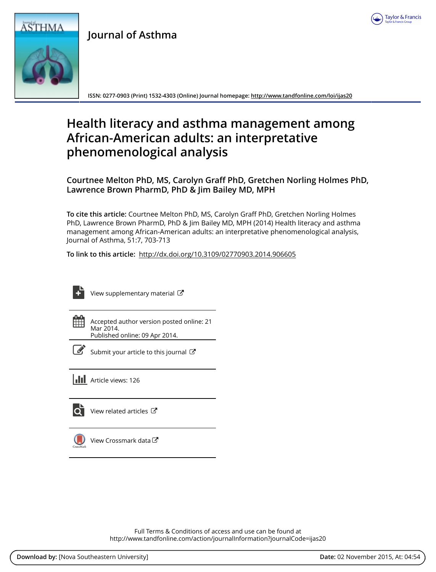

## **Journal of Asthma**



**ISSN: 0277-0903 (Print) 1532-4303 (Online) Journal homepage:<http://www.tandfonline.com/loi/ijas20>**

# **Health literacy and asthma management among African-American adults: an interpretative phenomenological analysis**

**Courtnee Melton PhD, MS, Carolyn Graff PhD, Gretchen Norling Holmes PhD, Lawrence Brown PharmD, PhD & Jim Bailey MD, MPH**

**To cite this article:** Courtnee Melton PhD, MS, Carolyn Graff PhD, Gretchen Norling Holmes PhD, Lawrence Brown PharmD, PhD & Jim Bailey MD, MPH (2014) Health literacy and asthma management among African-American adults: an interpretative phenomenological analysis, Journal of Asthma, 51:7, 703-713

**To link to this article:** <http://dx.doi.org/10.3109/02770903.2014.906605>



[View supplementary material](http://www.tandfonline.com/doi/suppl/10.3109/02770903.2014.906605)  $\mathbb{Z}^n$ 

Accepted author version posted online: 21 Mar 2014. Published online: 09 Apr 2014.



 $\overline{\mathscr{L}}$  [Submit your article to this journal](http://www.tandfonline.com/action/authorSubmission?journalCode=ijas20&page=instructions)  $\mathbb{F}$ 



 $\overline{Q}$  [View related articles](http://www.tandfonline.com/doi/mlt/10.3109/02770903.2014.906605)  $\mathbb{Z}$ 



[View Crossmark data](http://crossmark.crossref.org/dialog/?doi=10.3109/02770903.2014.906605&domain=pdf&date_stamp=2014-03-21)<sup>C</sup>

Full Terms & Conditions of access and use can be found at <http://www.tandfonline.com/action/journalInformation?journalCode=ijas20>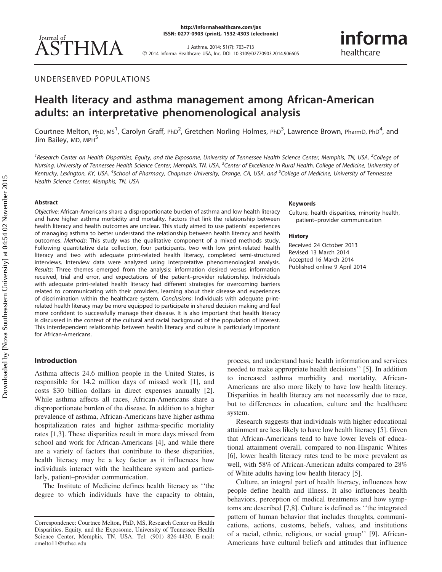J Asthma, 2014; 51(7): 703–713 ! 2014 Informa Healthcare USA, Inc. DOI: 10.3109/02770903.2014.906605

UNDERSERVED POPULATIONS

### Health literacy and asthma management among African-American adults: an interpretative phenomenological analysis

Courtnee Melton, PhD, MS<sup>1</sup>, Carolyn Graff, PhD<sup>2</sup>, Gretchen Norling Holmes, PhD<sup>3</sup>, Lawrence Brown, PharmD, PhD<sup>4</sup>, and Jim Bailey, MD, MPH<sup>5</sup>

<sup>1</sup> Research Center on Health Disparities, Equity, and the Exposome, University of Tennessee Health Science Center, Memphis, TN, USA, <sup>2</sup>College of Nursing, University of Tennessee Health Science Center, Memphis, TN, USA, <sup>3</sup>Center of Excellence in Rural Health, College of Medicine, University of Kentucky, Lexington, KY, USA, <sup>4</sup>School of Pharmacy, Chapman University, Orange, CA, USA, and <sup>5</sup>College of Medicine, University of Tennessee Health Science Center, Memphis, TN, USA

#### Abstract

Objective: African-Americans share a disproportionate burden of asthma and low health literacy and have higher asthma morbidity and mortality. Factors that link the relationship between health literacy and health outcomes are unclear. This study aimed to use patients' experiences of managing asthma to better understand the relationship between health literacy and health outcomes. Methods: This study was the qualitative component of a mixed methods study. Following quantitative data collection, four participants, two with low print-related health literacy and two with adequate print-related health literacy, completed semi-structured interviews. Interview data were analyzed using interpretative phenomenological analysis. Results: Three themes emerged from the analysis: information desired versus information received, trial and error, and expectations of the patient–provider relationship. Individuals with adequate print-related health literacy had different strategies for overcoming barriers related to communicating with their providers, learning about their disease and experiences of discrimination within the healthcare system. Conclusions: Individuals with adequate printrelated health literacy may be more equipped to participate in shared decision making and feel more confident to successfully manage their disease. It is also important that health literacy is discussed in the context of the cultural and racial background of the population of interest. This interdependent relationship between health literacy and culture is particularly important for African-Americans.

#### Introduction

Asthma affects 24.6 million people in the United States, is responsible for 14.2 million days of missed work [\[1\]](#page-9-0), and costs \$30 billion dollars in direct expenses annually [\[2](#page-9-0)]. While asthma affects all races, African-Americans share a disproportionate burden of the disease. In addition to a higher prevalence of asthma, African-Americans have higher asthma hospitalization rates and higher asthma-specific mortality rates [[1,3](#page-9-0)]. These disparities result in more days missed from school and work for African-Americans [[4\]](#page-9-0), and while there are a variety of factors that contribute to these disparities, health literacy may be a key factor as it influences how individuals interact with the healthcare system and particularly, patient–provider communication.

The Institute of Medicine defines health literacy as ''the degree to which individuals have the capacity to obtain,

#### Keywords

Culture, health disparities, minority health, patient–provider communication

#### **History**

Received 24 October 2013 Revised 13 March 2014 Accepted 16 March 2014 Published online 9 April 2014

process, and understand basic health information and services needed to make appropriate health decisions'' [[5\]](#page-9-0). In addition to increased asthma morbidity and mortality, African-Americans are also more likely to have low health literacy. Disparities in health literacy are not necessarily due to race, but to differences in education, culture and the healthcare system.

Research suggests that individuals with higher educational attainment are less likely to have low health literacy [[5\]](#page-9-0). Given that African-Americans tend to have lower levels of educational attainment overall, compared to non-Hispanic Whites [\[6](#page-9-0)], lower health literacy rates tend to be more prevalent as well, with 58% of African-American adults compared to 28% of White adults having low health literacy [[5\]](#page-9-0).

Culture, an integral part of health literacy, influences how people define health and illness. It also influences health behaviors, perception of medical treatments and how symptoms are described [[7,8](#page-9-0)]. Culture is defined as ''the integrated pattern of human behavior that includes thoughts, communications, actions, customs, beliefs, values, and institutions of a racial, ethnic, religious, or social group'' [\[9](#page-9-0)]. African-Americans have cultural beliefs and attitudes that influence



Correspondence: Courtnee Melton, PhD, MS, Research Center on Health Disparities, Equity, and the Exposome, University of Tennessee Health Science Center, Memphis, TN, USA. Tel: (901) 826-4430. E-mail: cmelto11@uthsc.edu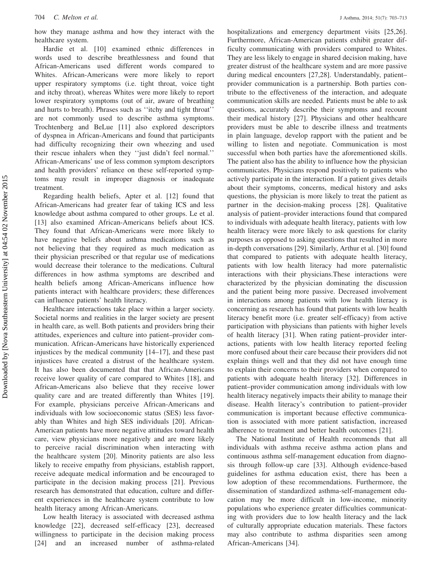how they manage asthma and how they interact with the healthcare system.

Hardie et al. [\[10](#page-9-0)] examined ethnic differences in words used to describe breathlessness and found that African-Americans used different words compared to Whites. African-Americans were more likely to report upper respiratory symptoms (i.e. tight throat, voice tight and itchy throat), whereas Whites were more likely to report lower respiratory symptoms (out of air, aware of breathing and hurts to breath). Phrases such as ''itchy and tight throat'' are not commonly used to describe asthma symptoms. Trochtenberg and BeLue [[11\]](#page-9-0) also explored descriptors of dyspnea in African-Americans and found that participants had difficulty recognizing their own wheezing and used their rescue inhalers when they ''just didn't feel normal.'' African-Americans' use of less common symptom descriptors and health providers' reliance on these self-reported symptoms may result in improper diagnosis or inadequate treatment.

Regarding health beliefs, Apter et al. [[12\]](#page-9-0) found that African-Americans had greater fear of taking ICS and less knowledge about asthma compared to other groups. Le et al. [\[13](#page-10-0)] also examined African-Americans beliefs about ICS. They found that African-Americans were more likely to have negative beliefs about asthma medications such as not believing that they required as much medication as their physician prescribed or that regular use of medications would decrease their tolerance to the medications. Cultural differences in how asthma symptoms are described and health beliefs among African-Americans influence how patients interact with healthcare providers; these differences can influence patients' health literacy.

Healthcare interactions take place within a larger society. Societal norms and realities in the larger society are present in health care, as well. Both patients and providers bring their attitudes, experiences and culture into patient–provider communication. African-Americans have historically experienced injustices by the medical community [\[14–17](#page-10-0)], and these past injustices have created a distrust of the healthcare system. It has also been documented that that African-Americans receive lower quality of care compared to Whites [[18\]](#page-10-0), and African-Americans also believe that they receive lower quality care and are treated differently than Whites [\[19](#page-10-0)]. For example, physicians perceive African-Americans and individuals with low socioeconomic status (SES) less favorably than Whites and high SES individuals [\[20](#page-10-0)]. African-American patients have more negative attitudes toward health care, view physicians more negatively and are more likely to perceive racial discrimination when interacting with the healthcare system [\[20](#page-10-0)]. Minority patients are also less likely to receive empathy from physicians, establish rapport, receive adequate medical information and be encouraged to participate in the decision making process [[21\]](#page-10-0). Previous research has demonstrated that education, culture and different experiences in the healthcare system contribute to low health literacy among African-Americans.

Low health literacy is associated with decreased asthma knowledge [[22\]](#page-10-0), decreased self-efficacy [\[23](#page-10-0)], decreased willingness to participate in the decision making process [\[24](#page-10-0)] and an increased number of asthma-related

hospitalizations and emergency department visits [[25,26](#page-10-0)]. Furthermore, African-American patients exhibit greater difficulty communicating with providers compared to Whites. They are less likely to engage in shared decision making, have greater distrust of the healthcare system and are more passive during medical encounters [\[27](#page-10-0),[28\]](#page-10-0). Understandably, patient– provider communication is a partnership. Both parties contribute to the effectiveness of the interaction, and adequate communication skills are needed. Patients must be able to ask questions, accurately describe their symptoms and recount their medical history [\[27\]](#page-10-0). Physicians and other healthcare providers must be able to describe illness and treatments in plain language, develop rapport with the patient and be willing to listen and negotiate. Communication is most successful when both parties have the aforementioned skills. The patient also has the ability to influence how the physician communicates. Physicians respond positively to patients who actively participate in the interaction. If a patient gives details about their symptoms, concerns, medical history and asks questions, the physician is more likely to treat the patient as partner in the decision-making process [\[28](#page-10-0)]. Qualitative analysis of patient–provider interactions found that compared to individuals with adequate health literacy, patients with low health literacy were more likely to ask questions for clarity purposes as opposed to asking questions that resulted in more in-depth conversations [[29\]](#page-10-0). Similarly, Arthur et al. [\[30](#page-10-0)] found that compared to patients with adequate health literacy, patients with low health literacy had more paternalistic interactions with their physicians.These interactions were characterized by the physician dominating the discussion and the patient being more passive. Decreased involvement in interactions among patients with low health literacy is concerning as research has found that patients with low health literacy benefit more (i.e. greater self-efficacy) from active participation with physicians than patients with higher levels of health literacy [[31](#page-10-0)]. When rating patient–provider interactions, patients with low health literacy reported feeling more confused about their care because their providers did not explain things well and that they did not have enough time to explain their concerns to their providers when compared to patients with adequate health literacy [[32\]](#page-10-0). Differences in patient–provider communication among individuals with low health literacy negatively impacts their ability to manage their disease. Health literacy's contribution to patient–provider communication is important because effective communication is associated with more patient satisfaction, increased adherence to treatment and better health outcomes [[21\]](#page-10-0).

The National Institute of Health recommends that all individuals with asthma receive asthma action plans and continuous asthma self-management education from diagnosis through follow-up care [[33\]](#page-10-0). Although evidence-based guidelines for asthma education exist, there has been a low adoption of these recommendations. Furthermore, the dissemination of standardized asthma-self-management education may be more difficult in low-income, minority populations who experience greater difficulties communicating with providers due to low health literacy and the lack of culturally appropriate education materials. These factors may also contribute to asthma disparities seen among African-Americans [[34\]](#page-10-0).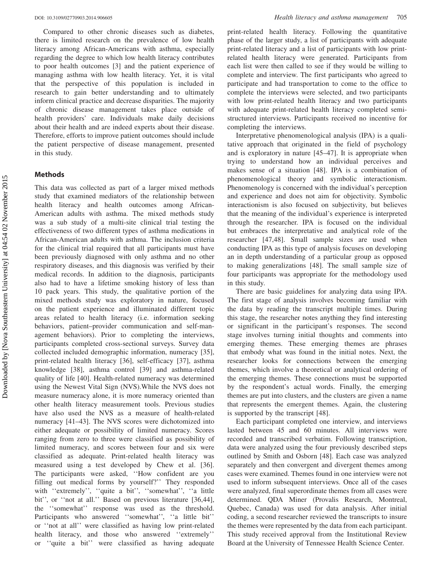Compared to other chronic diseases such as diabetes, there is limited research on the prevalence of low health literacy among African-Americans with asthma, especially regarding the degree to which low health literacy contributes to poor health outcomes [[3\]](#page-9-0) and the patient experience of managing asthma with low health literacy. Yet, it is vital that the perspective of this population is included in research to gain better understanding and to ultimately inform clinical practice and decrease disparities. The majority of chronic disease management takes place outside of health providers' care. Individuals make daily decisions about their health and are indeed experts about their disease. Therefore, efforts to improve patient outcomes should include the patient perspective of disease management, presented in this study.

#### Methods

This data was collected as part of a larger mixed methods study that examined mediators of the relationship between health literacy and health outcomes among African-American adults with asthma. The mixed methods study was a sub study of a multi-site clinical trial testing the effectiveness of two different types of asthma medications in African-American adults with asthma. The inclusion criteria for the clinical trial required that all participants must have been previously diagnosed with only asthma and no other respiratory diseases, and this diagnosis was verified by their medical records. In addition to the diagnosis, participants also had to have a lifetime smoking history of less than 10 pack years. This study, the qualitative portion of the mixed methods study was exploratory in nature, focused on the patient experience and illuminated different topic areas related to health literacy (i.e. information seeking behaviors, patient–provider communication and self-management behaviors). Prior to completing the interviews, participants completed cross-sectional surveys. Survey data collected included demographic information, numeracy [\[35](#page-10-0)], print-related health literacy [[36\]](#page-10-0), self-efficacy [\[37](#page-10-0)], asthma knowledge [[38\]](#page-10-0), asthma control [\[39](#page-10-0)] and asthma-related quality of life [\[40](#page-10-0)]. Health-related numeracy was determined using the Newest Vital Sign (NVS).While the NVS does not measure numeracy alone, it is more numeracy oriented than other health literacy measurement tools. Previous studies have also used the NVS as a measure of health-related numeracy [\[41–43](#page-10-0)]. The NVS scores were dichotomized into either adequate or possibility of limited numeracy. Scores ranging from zero to three were classified as possibility of limited numeracy, and scores between four and six were classified as adequate. Print-related health literacy was measured using a test developed by Chew et al. [\[36](#page-10-0)]. The participants were asked, ''How confident are you filling out medical forms by yourself?'' They responded with ''extremely'', ''quite a bit'', ''somewhat'', ''a little bit", or "not at all." Based on previous literature [[36,44](#page-10-0)], the ''somewhat'' response was used as the threshold. Participants who answered "somewhat", "a little bit" or ''not at all'' were classified as having low print-related health literacy, and those who answered ''extremely'' or ''quite a bit'' were classified as having adequate

print-related health literacy. Following the quantitative phase of the larger study, a list of participants with adequate print-related literacy and a list of participants with low printrelated health literacy were generated. Participants from each list were then called to see if they would be willing to complete and interview. The first participants who agreed to participate and had transportation to come to the office to complete the interviews were selected, and two participants with low print-related health literacy and two participants with adequate print-related health literacy completed semistructured interviews. Participants received no incentive for completing the interviews.

Interpretative phenomenological analysis (IPA) is a qualitative approach that originated in the field of psychology and is exploratory in nature [\[45–47\]](#page-10-0). It is appropriate when trying to understand how an individual perceives and makes sense of a situation [\[48](#page-10-0)]. IPA is a combination of phenomenological theory and symbolic interactionism. Phenomenology is concerned with the individual's perception and experience and does not aim for objectivity. Symbolic interactionism is also focused on subjectivity, but believes that the meaning of the individual's experience is interpreted through the researcher. IPA is focused on the individual but embraces the interpretative and analytical role of the researcher [[47,48](#page-10-0)]. Small sample sizes are used when conducting IPA as this type of analysis focuses on developing an in depth understanding of a particular group as opposed to making generalizations [[48\]](#page-10-0). The small sample size of four participants was appropriate for the methodology used in this study.

There are basic guidelines for analyzing data using IPA. The first stage of analysis involves becoming familiar with the data by reading the transcript multiple times. During this stage, the researcher notes anything they find interesting or significant in the participant's responses. The second stage involves turning initial thoughts and comments into emerging themes. These emerging themes are phrases that embody what was found in the initial notes. Next, the researcher looks for connections between the emerging themes, which involve a theoretical or analytical ordering of the emerging themes. These connections must be supported by the respondent's actual words. Finally, the emerging themes are put into clusters, and the clusters are given a name that represents the emergent themes. Again, the clustering is supported by the transcript [[48\]](#page-10-0).

Each participant completed one interview, and interviews lasted between 45 and 60 minutes. All interviews were recorded and transcribed verbatim. Following transcription, data were analyzed using the four previously described steps outlined by Smith and Osborn [[48\]](#page-10-0). Each case was analyzed separately and then convergent and divergent themes among cases were examined. Themes found in one interview were not used to inform subsequent interviews. Once all of the cases were analyzed, final superordinate themes from all cases were determined. QDA Miner (Provalis Research, Montreal, Quebec, Canada) was used for data analysis. After initial coding, a second researcher reviewed the transcripts to insure the themes were represented by the data from each participant. This study received approval from the Institutional Review Board at the University of Tennessee Health Science Center.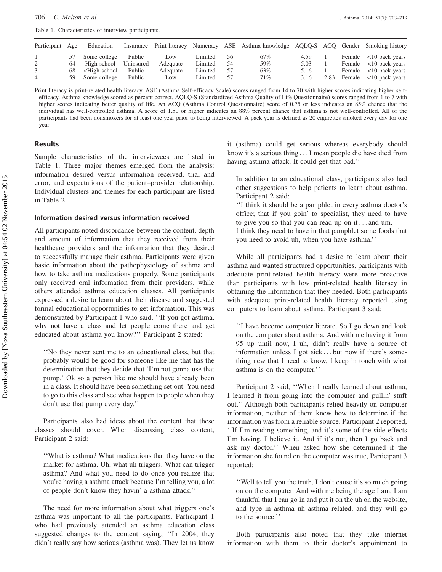|  |  | Table 1. Characteristics of interview participants. |  |  |  |
|--|--|-----------------------------------------------------|--|--|--|
|--|--|-----------------------------------------------------|--|--|--|

| Participant              | Age             | Education                                                         |                                         | Insurance Print literacy           | Numeracy                                 |                      | ASE Asthma knowledge AQLQ-S ACQ Gender Smoking history |                              |      |                                                                                                                       |
|--------------------------|-----------------|-------------------------------------------------------------------|-----------------------------------------|------------------------------------|------------------------------------------|----------------------|--------------------------------------------------------|------------------------------|------|-----------------------------------------------------------------------------------------------------------------------|
| 2<br>3<br>$\overline{4}$ | 64<br>68<br>59. | Some college<br>High school<br>$\leq$ High school<br>Some college | Public<br>Uninsured<br>Public<br>Public | Low<br>Adequate<br>Adequate<br>Low | Limited<br>Limited<br>Limited<br>Limited | 56<br>54<br>57<br>57 | 67%<br>59%<br>63%<br>71%                               | 4.59<br>5.03<br>5.16<br>3.16 | 2.83 | Female $\lt$ 10 pack years<br>Female $\leq 10$ pack years<br>Female $\lt$ 10 pack years<br>Female $\lt$ 10 pack years |

Print literacy is print-related health literacy. ASE (Asthma Self-efficacy Scale) scores ranged from 14 to 70 with higher scores indicating higher selfefficacy. Asthma knowledge scored as percent correct. AQLQ-S (Standardized Asthma Quality of Life Questionnaire) scores ranged from 1 to 7 with higher scores indicating better quality of life. An ACQ (Asthma Control Questionnaire) score of 0.75 or less indicates an 85% chance that the individual has well-controlled asthma. A score of 1.50 or higher indicates an 88% percent chance that asthma is not well-controlled. All of the participants had been nonsmokers for at least one year prior to being interviewed. A pack year is defined as 20 cigarettes smoked every day for one year.

#### Results

Sample characteristics of the interviewees are listed in Table 1. Three major themes emerged from the analysis: information desired versus information received, trial and error, and expectations of the patient–provider relationship. Individual clusters and themes for each participant are listed in [Table 2](#page-5-0).

#### Information desired versus information received

All participants noted discordance between the content, depth and amount of information that they received from their healthcare providers and the information that they desired to successfully manage their asthma. Participants were given basic information about the pathophysiology of asthma and how to take asthma medications properly. Some participants only received oral information from their providers, while others attended asthma education classes. All participants expressed a desire to learn about their disease and suggested formal educational opportunities to get information. This was demonstrated by Participant 1 who said, ''If you got asthma, why not have a class and let people come there and get educated about asthma you know?'' Participant 2 stated:

''No they never sent me to an educational class, but that probably would be good for someone like me that has the determination that they decide that 'I'm not gonna use that pump.' Ok so a person like me should have already been in a class. It should have been something set out. You need to go to this class and see what happen to people when they don't use that pump every day.''

Participants also had ideas about the content that these classes should cover. When discussing class content, Participant 2 said:

''What is asthma? What medications that they have on the market for asthma. Uh, what uh triggers. What can trigger asthma? And what you need to do once you realize that you're having a asthma attack because I'm telling you, a lot of people don't know they havin' a asthma attack.''

The need for more information about what triggers one's asthma was important to all the participants. Participant 1 who had previously attended an asthma education class suggested changes to the content saying, ''In 2004, they didn't really say how serious (asthma was). They let us know

it (asthma) could get serious whereas everybody should know it's a serious thing ...I mean people die have died from having asthma attack. It could get that bad.''

In addition to an educational class, participants also had other suggestions to help patients to learn about asthma. Participant 2 said:

''I think it should be a pamphlet in every asthma doctor's office; that if you goin' to specialist, they need to have to give you so that you can read up on it ... and um,

I think they need to have in that pamphlet some foods that you need to avoid uh, when you have asthma.''

While all participants had a desire to learn about their asthma and wanted structured opportunities, participants with adequate print-related health literacy were more proactive than participants with low print-related health literacy in obtaining the information that they needed. Both participants with adequate print-related health literacy reported using computers to learn about asthma. Participant 3 said:

''I have become computer literate. So I go down and look on the computer about asthma. And with me having it from 95 up until now, I uh, didn't really have a source of information unless I got sick ... but now if there's something new that I need to know, I keep in touch with what asthma is on the computer.''

Participant 2 said, ''When I really learned about asthma, I learned it from going into the computer and pullin' stuff out.'' Although both participants relied heavily on computer information, neither of them knew how to determine if the information was from a reliable source. Participant 2 reported, ''If I'm reading something, and it's some of the side effects I'm having, I believe it. And if it's not, then I go back and ask my doctor.'' When asked how she determined if the information she found on the computer was true, Participant 3 reported:

''Well to tell you the truth, I don't cause it's so much going on on the computer. And with me being the age I am, I am thankful that I can go in and put it on the uh on the website, and type in asthma uh asthma related, and they will go to the source.''

Both participants also noted that they take internet information with them to their doctor's appointment to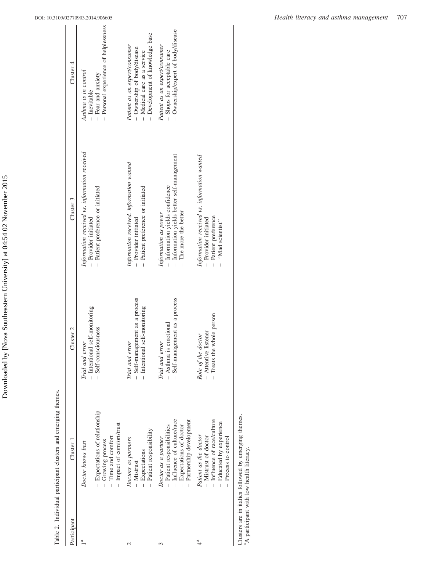<span id="page-5-0"></span>

|             | Table 2. Individual participant clusters and emerging themes.                                                                       |                                                                                                       |                                                                                                                                 |                                                                                                                                |
|-------------|-------------------------------------------------------------------------------------------------------------------------------------|-------------------------------------------------------------------------------------------------------|---------------------------------------------------------------------------------------------------------------------------------|--------------------------------------------------------------------------------------------------------------------------------|
| Participant | Cluster 1                                                                                                                           | Cluster <sub>2</sub>                                                                                  | Cluster 3                                                                                                                       | Cluster 4                                                                                                                      |
|             | Doctor knows best                                                                                                                   | - Intentional self-monitoring<br>Trial and error                                                      | Information received vs. information received<br>- Provider initiated                                                           | Asthma is in control<br>- Inevitable                                                                                           |
|             | - Expectations of relationship<br>- Impact of comfort/trust<br>- Time and comfort<br>- Growing process                              | - Self-consciousness                                                                                  | - Patient preference or initiated                                                                                               | - Personal experience of helplessness<br>- Fear and anxiety                                                                    |
|             | - Patient responsibility<br>Doctors as partners<br>- Expectations<br>$-$ Mistrust                                                   | - Self-management as a process<br>- Intentional self-monitoring<br>Trial and error                    | Information received. information wanted<br>- Patient preference or initiated<br>- Provider initiated                           | - Development of knowledge base<br>Patient as an expert/consumer<br>- Ownership of body/disease<br>- Medical care as a service |
|             | Influence of culture/race<br>Partnership development<br>- Expectations of doctor<br>Patient responsibilities<br>Doctor as a partner | - Self-management as a process<br>- Asthma is emotional<br>Trial and error                            | - Information yields better self-management<br>- Information yields confidence<br>- The more the better<br>Information as power | - Ownership/expert of body/disease<br>Patient as an expert/consumer<br>- Shops for acceptable care                             |
|             | - Influence of race/culture<br>- Educated by experience<br>Patient as the doctor<br>- Mistrust of doctor<br>- Process to control    | - Treats the whole person<br>listener<br>Role of the doctor<br>$-$ Attentive $\overline{\phantom{a}}$ | Information received vs. information wanted<br>- Patient preference<br>- Provider initiated<br>- 'Mad scientist'                |                                                                                                                                |

Clusters are in italics followed by emerging themes.<br><sup>a</sup>A participant with low health literacy. Clusters are in italics followed by emerging themes. <sup>a</sup>A participant with low health literacy.

Downloaded by [Nova Southeastern University] at 04:54 02 November 2015

Downloaded by [Nova Southeastern University] at 04:54 02 November 2015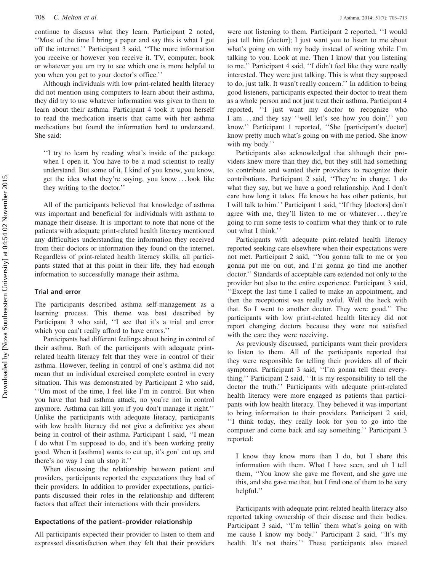continue to discuss what they learn. Participant 2 noted, ''Most of the time I bring a paper and say this is what I got off the internet.'' Participant 3 said, ''The more information you receive or however you receive it. TV, computer, book or whatever you um try to see which one is more helpful to you when you get to your doctor's office.''

Although individuals with low print-related health literacy did not mention using computers to learn about their asthma, they did try to use whatever information was given to them to learn about their asthma. Participant 4 took it upon herself to read the medication inserts that came with her asthma medications but found the information hard to understand. She said:

''I try to learn by reading what's inside of the package when I open it. You have to be a mad scientist to really understand. But some of it, I kind of you know, you know, get the idea what they're saying, you know ...look like they writing to the doctor.''

All of the participants believed that knowledge of asthma was important and beneficial for individuals with asthma to manage their disease. It is important to note that none of the patients with adequate print-related health literacy mentioned any difficulties understanding the information they received from their doctors or information they found on the internet. Regardless of print-related health literacy skills, all participants stated that at this point in their life, they had enough information to successfully manage their asthma.

#### Trial and error

The participants described asthma self-management as a learning process. This theme was best described by Participant 3 who said, ''I see that it's a trial and error which you can't really afford to have errors.''

Participants had different feelings about being in control of their asthma. Both of the participants with adequate printrelated health literacy felt that they were in control of their asthma. However, feeling in control of one's asthma did not mean that an individual exercised complete control in every situation. This was demonstrated by Participant 2 who said, ''Um most of the time, I feel like I'm in control. But when you have that bad asthma attack, no you're not in control anymore. Asthma can kill you if you don't manage it right.'' Unlike the participants with adequate literacy, participants with low health literacy did not give a definitive yes about being in control of their asthma. Participant 1 said, ''I mean I do what I'm supposed to do, and it's been working pretty good. When it [asthma] wants to cut up, it's gon' cut up, and there's no way I can uh stop it.''

When discussing the relationship between patient and providers, participants reported the expectations they had of their providers. In addition to provider expectations, participants discussed their roles in the relationship and different factors that affect their interactions with their providers.

#### Expectations of the patient–provider relationship

All participants expected their provider to listen to them and expressed dissatisfaction when they felt that their providers

were not listening to them. Participant 2 reported, ''I would just tell him [doctor]; I just want you to listen to me about what's going on with my body instead of writing while I'm talking to you. Look at me. Then I know that you listening to me.'' Participant 4 said, ''I didn't feel like they were really interested. They were just talking. This is what they supposed to do, just talk. It wasn't really concern.'' In addition to being good listeners, participants expected their doctor to treat them as a whole person and not just treat their asthma. Participant 4 reported, ''I just want my doctor to recognize who I am ... and they say ''well let's see how you doin','' you know.'' Participant 1 reported, ''She [participant's doctor] know pretty much what's going on with me period. She know with my body."

Participants also acknowledged that although their providers knew more than they did, but they still had something to contribute and wanted their providers to recognize their contributions. Participant 2 said, ''They're in charge. I do what they say, but we have a good relationship. And I don't care how long it takes. He knows he has other patients, but I will talk to him.'' Participant 1 said, ''If they [doctors] don't agree with me, they'll listen to me or whatever... they're going to run some tests to confirm what they think or to rule out what I think.''

Participants with adequate print-related health literacy reported seeking care elsewhere when their expectations were not met. Participant 2 said, ''You gonna talk to me or you gonna put me on out, and I'm gonna go find me another doctor.'' Standards of acceptable care extended not only to the provider but also to the entire experience. Participant 3 said, ''Except the last time I called to make an appointment, and then the receptionist was really awful. Well the heck with that. So I went to another doctor. They were good.'' The participants with low print-related health literacy did not report changing doctors because they were not satisfied with the care they were receiving.

As previously discussed, participants want their providers to listen to them. All of the participants reported that they were responsible for telling their providers all of their symptoms. Participant 3 said, ''I'm gonna tell them everything.'' Participant 2 said, ''It is my responsibility to tell the doctor the truth.'' Participants with adequate print-related health literacy were more engaged as patients than participants with low health literacy. They believed it was important to bring information to their providers. Participant 2 said, ''I think today, they really look for you to go into the computer and come back and say something.'' Participant 3 reported:

I know they know more than I do, but I share this information with them. What I have seen, and uh I tell them, ''You know she gave me flovent, and she gave me this, and she gave me that, but I find one of them to be very helpful.''

Participants with adequate print-related health literacy also reported taking ownership of their disease and their bodies. Participant 3 said, "I'm tellin' them what's going on with me cause I know my body.'' Participant 2 said, ''It's my health. It's not theirs.'' These participants also treated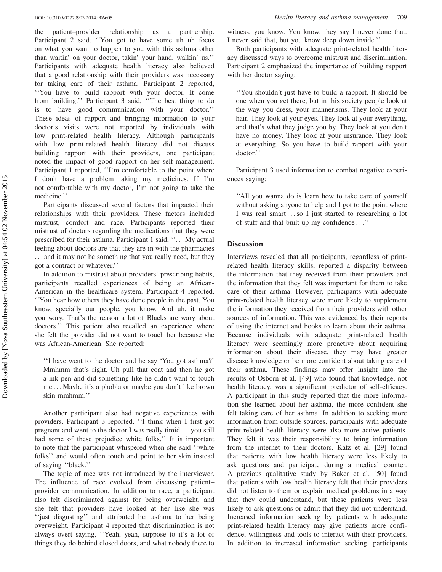the patient–provider relationship as a partnership. Participant 2 said, ''You got to have some uh uh focus on what you want to happen to you with this asthma other than waitin' on your doctor, takin' your hand, walkin' us.'' Participants with adequate health literacy also believed that a good relationship with their providers was necessary for taking care of their asthma. Participant 2 reported, ''You have to build rapport with your doctor. It come from building.'' Participant 3 said, ''The best thing to do is to have good communication with your doctor.'' These ideas of rapport and bringing information to your doctor's visits were not reported by individuals with low print-related health literacy. Although participants with low print-related health literacy did not discuss building rapport with their providers, one participant noted the impact of good rapport on her self-management. Participant 1 reported, "I'm comfortable to the point where I don't have a problem taking my medicines. If I'm not comfortable with my doctor, I'm not going to take the medicine.''

Participants discussed several factors that impacted their relationships with their providers. These factors included mistrust, comfort and race. Participants reported their mistrust of doctors regarding the medications that they were prescribed for their asthma. Participant 1 said, ''... My actual feeling about doctors are that they are in with the pharmacies ... and it may not be something that you really need, but they got a contract or whatever.''

In addition to mistrust about providers' prescribing habits, participants recalled experiences of being an African-American in the healthcare system. Participant 4 reported, ''You hear how others they have done people in the past. You know, specially our people, you know. And uh, it make you wary. That's the reason a lot of Blacks are wary about doctors.'' This patient also recalled an experience where she felt the provider did not want to touch her because she was African-American. She reported:

''I have went to the doctor and he say 'You got asthma?' Mmhmm that's right. Uh pull that coat and then he got a ink pen and did something like he didn't want to touch me ... Maybe it's a phobia or maybe you don't like brown skin mmhmm.''

Another participant also had negative experiences with providers. Participant 3 reported, ''I think when I first got pregnant and went to the doctor I was really timid ... you still had some of these prejudice white folks.'' It is important to note that the participant whispered when she said ''white folks'' and would often touch and point to her skin instead of saying ''black.''

The topic of race was not introduced by the interviewer. The influence of race evolved from discussing patient– provider communication. In addition to race, a participant also felt discriminated against for being overweight, and she felt that providers have looked at her like she was ''just disgusting'' and attributed her asthma to her being overweight. Participant 4 reported that discrimination is not always overt saying, ''Yeah, yeah, suppose to it's a lot of things they do behind closed doors, and what nobody there to

witness, you know. You know, they say I never done that. I never said that, but you know deep down inside.''

Both participants with adequate print-related health literacy discussed ways to overcome mistrust and discrimination. Participant 2 emphasized the importance of building rapport with her doctor saying:

''You shouldn't just have to build a rapport. It should be one when you get there, but in this society people look at the way you dress, your mannerisms. They look at your hair. They look at your eyes. They look at your everything, and that's what they judge you by. They look at you don't have no money. They look at your insurance. They look at everything. So you have to build rapport with your doctor.''

Participant 3 used information to combat negative experiences saying:

''All you wanna do is learn how to take care of yourself without asking anyone to help and I got to the point where I was real smart ...so I just started to researching a lot of stuff and that built up my confidence ...''

#### **Discussion**

Interviews revealed that all participants, regardless of printrelated health literacy skills, reported a disparity between the information that they received from their providers and the information that they felt was important for them to take care of their asthma. However, participants with adequate print-related health literacy were more likely to supplement the information they received from their providers with other sources of information. This was evidenced by their reports of using the internet and books to learn about their asthma. Because individuals with adequate print-related health literacy were seemingly more proactive about acquiring information about their disease, they may have greater disease knowledge or be more confident about taking care of their asthma. These findings may offer insight into the results of Osborn et al. [\[49](#page-10-0)] who found that knowledge, not health literacy, was a significant predictor of self-efficacy. A participant in this study reported that the more information she learned about her asthma, the more confident she felt taking care of her asthma. In addition to seeking more information from outside sources, participants with adequate print-related health literacy were also more active patients. They felt it was their responsibility to bring information from the internet to their doctors. Katz et al. [\[29](#page-10-0)] found that patients with low health literacy were less likely to ask questions and participate during a medical counter. A previous qualitative study by Baker et al. [[50\]](#page-10-0) found that patients with low health literacy felt that their providers did not listen to them or explain medical problems in a way that they could understand, but these patients were less likely to ask questions or admit that they did not understand. Increased information seeking by patients with adequate print-related health literacy may give patients more confidence, willingness and tools to interact with their providers. In addition to increased information seeking, participants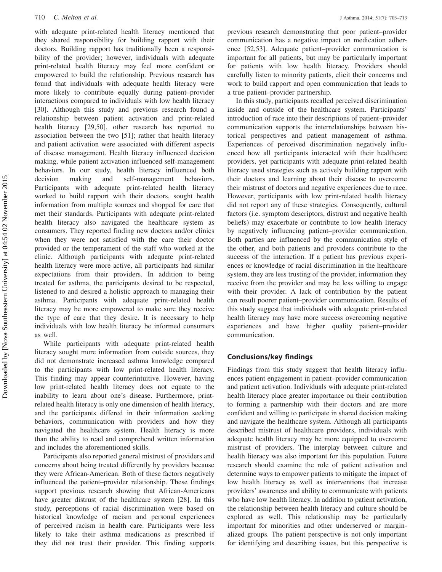with adequate print-related health literacy mentioned that they shared responsibility for building rapport with their doctors. Building rapport has traditionally been a responsibility of the provider; however, individuals with adequate print-related health literacy may feel more confident or empowered to build the relationship. Previous research has found that individuals with adequate health literacy were more likely to contribute equally during patient–provider interactions compared to individuals with low health literacy [\[30](#page-10-0)]. Although this study and previous research found a relationship between patient activation and print-related health literacy [\[29](#page-10-0),[50\]](#page-10-0), other research has reported no association between the two [\[51](#page-10-0)]; rather that health literacy and patient activation were associated with different aspects of disease management. Health literacy influenced decision making, while patient activation influenced self-management behaviors. In our study, health literacy influenced both decision making and self-management behaviors. Participants with adequate print-related health literacy worked to build rapport with their doctors, sought health information from multiple sources and shopped for care that met their standards. Participants with adequate print-related health literacy also navigated the healthcare system as consumers. They reported finding new doctors and/or clinics when they were not satisfied with the care their doctor provided or the temperament of the staff who worked at the clinic. Although participants with adequate print-related health literacy were more active, all participants had similar expectations from their providers. In addition to being treated for asthma, the participants desired to be respected, listened to and desired a holistic approach to managing their asthma. Participants with adequate print-related health literacy may be more empowered to make sure they receive the type of care that they desire. It is necessary to help individuals with low health literacy be informed consumers as well.

While participants with adequate print-related health literacy sought more information from outside sources, they did not demonstrate increased asthma knowledge compared to the participants with low print-related health literacy. This finding may appear counterintuitive. However, having low print-related health literacy does not equate to the inability to learn about one's disease. Furthermore, printrelated health literacy is only one dimension of health literacy, and the participants differed in their information seeking behaviors, communication with providers and how they navigated the healthcare system. Health literacy is more than the ability to read and comprehend written information and includes the aforementioned skills.

Participants also reported general mistrust of providers and concerns about being treated differently by providers because they were African-American. Both of these factors negatively influenced the patient–provider relationship. These findings support previous research showing that African-Americans have greater distrust of the healthcare system [\[28](#page-10-0)]. In this study, perceptions of racial discrimination were based on historical knowledge of racism and personal experiences of perceived racism in health care. Participants were less likely to take their asthma medications as prescribed if they did not trust their provider. This finding supports

previous research demonstrating that poor patient–provider communication has a negative impact on medication adherence [[52,53\]](#page-10-0). Adequate patient–provider communication is important for all patients, but may be particularly important for patients with low health literacy. Providers should carefully listen to minority patients, elicit their concerns and work to build rapport and open communication that leads to a true patient–provider partnership.

In this study, participants recalled perceived discrimination inside and outside of the healthcare system. Participants' introduction of race into their descriptions of patient–provider communication supports the interrelationships between historical perspectives and patient management of asthma. Experiences of perceived discrimination negatively influenced how all participants interacted with their healthcare providers, yet participants with adequate print-related health literacy used strategies such as actively building rapport with their doctors and learning about their disease to overcome their mistrust of doctors and negative experiences due to race. However, participants with low print-related health literacy did not report any of these strategies. Consequently, cultural factors (i.e. symptom descriptors, distrust and negative health beliefs) may exacerbate or contribute to low health literacy by negatively influencing patient–provider communication. Both parties are influenced by the communication style of the other, and both patients and providers contribute to the success of the interaction. If a patient has previous experiences or knowledge of racial discrimination in the healthcare system, they are less trusting of the provider, information they receive from the provider and may be less willing to engage with their provider. A lack of contribution by the patient can result poorer patient–provider communication. Results of this study suggest that individuals with adequate print-related health literacy may have more success overcoming negative experiences and have higher quality patient–provider communication.

#### Conclusions/key findings

Findings from this study suggest that health literacy influences patient engagement in patient–provider communication and patient activation. Individuals with adequate print-related health literacy place greater importance on their contribution to forming a partnership with their doctors and are more confident and willing to participate in shared decision making and navigate the healthcare system. Although all participants described mistrust of healthcare providers, individuals with adequate health literacy may be more equipped to overcome mistrust of providers. The interplay between culture and health literacy was also important for this population. Future research should examine the role of patient activation and determine ways to empower patients to mitigate the impact of low health literacy as well as interventions that increase providers' awareness and ability to communicate with patients who have low health literacy. In addition to patient activation, the relationship between health literacy and culture should be explored as well. This relationship may be particularly important for minorities and other underserved or marginalized groups. The patient perspective is not only important for identifying and describing issues, but this perspective is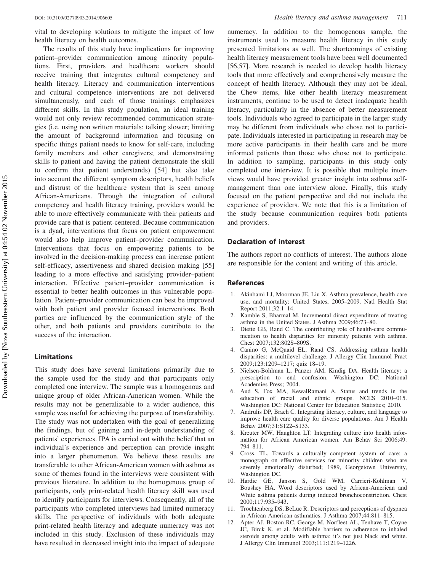<span id="page-9-0"></span>vital to developing solutions to mitigate the impact of low health literacy on health outcomes.

The results of this study have implications for improving patient–provider communication among minority populations. First, providers and healthcare workers should receive training that integrates cultural competency and health literacy. Literacy and communication interventions and cultural competence interventions are not delivered simultaneously, and each of those trainings emphasizes different skills. In this study population, an ideal training would not only review recommended communication strategies (i.e. using non written materials; talking slower; limiting the amount of background information and focusing on specific things patient needs to know for self-care, including family members and other caregivers; and demonstrating skills to patient and having the patient demonstrate the skill to confirm that patient understands) [\[54](#page-10-0)] but also take into account the different symptom descriptors, health beliefs and distrust of the healthcare system that is seen among African-Americans. Through the integration of cultural competency and health literacy training, providers would be able to more effectively communicate with their patients and provide care that is patient-centered. Because communication is a dyad, interventions that focus on patient empowerment would also help improve patient–provider communication. Interventions that focus on empowering patients to be involved in the decision-making process can increase patient self-efficacy, assertiveness and shared decision making [[55\]](#page-10-0) leading to a more effective and satisfying provider–patient interaction. Effective patient–provider communication is essential to better health outcomes in this vulnerable population. Patient–provider communication can best be improved with both patient and provider focused interventions. Both parties are influenced by the communication style of the other, and both patients and providers contribute to the success of the interaction.

#### Limitations

This study does have several limitations primarily due to the sample used for the study and that participants only completed one interview. The sample was a homogenous and unique group of older African-American women. While the results may not be generalizable to a wider audience, this sample was useful for achieving the purpose of transferability. The study was not undertaken with the goal of generalizing the findings, but of gaining and in-depth understanding of patients' experiences. IPA is carried out with the belief that an individual's experience and perception can provide insight into a larger phenomenon. We believe these results are transferable to other African-American women with asthma as some of themes found in the interviews were consistent with previous literature. In addition to the homogenous group of participants, only print-related health literacy skill was used to identify participants for interviews. Consequently, all of the participants who completed interviews had limited numeracy skills. The perspective of individuals with both adequate print-related health literacy and adequate numeracy was not included in this study. Exclusion of these individuals may have resulted in decreased insight into the impact of adequate

numeracy. In addition to the homogenous sample, the instruments used to measure health literacy in this study presented limitations as well. The shortcomings of existing health literacy measurement tools have been well documented [\[56](#page-10-0),[57\]](#page-10-0). More research is needed to develop health literacy tools that more effectively and comprehensively measure the concept of health literacy. Although they may not be ideal, the Chew items, like other health literacy measurement instruments, continue to be used to detect inadequate health literacy, particularly in the absence of better measurement tools. Individuals who agreed to participate in the larger study may be different from individuals who chose not to participate. Individuals interested in participating in research may be more active participants in their health care and be more informed patients than those who chose not to participate. In addition to sampling, participants in this study only completed one interview. It is possible that multiple interviews would have provided greater insight into asthma selfmanagement than one interview alone. Finally, this study focused on the patient perspective and did not include the experience of providers. We note that this is a limitation of the study because communication requires both patients and providers.

#### Declaration of interest

The authors report no conflicts of interest. The authors alone are responsible for the content and writing of this article.

#### References

- 1. Akinbami LJ, Moorman JE, Liu X. Asthma prevalence, health care use, and mortality: United States, 2005–2009. Natl Health Stat Report 2011;32:1–14.
- 2. Kamble S, Bharmal M. Incremental direct expenditure of treating asthma in the United States. J Asthma 2009;46:73–80.
- 3. Diette GB, Rand C. The contributing role of health-care communication to health disparities for minority patients with asthma. Chest 2007;132:802S–809S.
- 4. Canino G, McQuaid EL, Rand CS. Addressing asthma health disparities: a multilevel challenge. J Allergy Clin Immunol Pract 2009;123:1209–1217; quiz 18–19.
- 5. Nielsen-Bohlman L, Panzer AM, Kindig DA. Health literacy: a prescription to end confusion. Washington DC: National Academies Press; 2004.
- 6. Aud S, Fox MA, KewalRamani A. Status and trends in the education of racial and ethnic groups. NCES 2010–015. Washington DC: National Center for Education Statistics; 2010.
- 7. Andrulis DP, Brach C. Integrating literacy, culture, and language to improve health care quality for diverse populations. Am J Health Behav 2007;31:S122–S133.
- 8. Kreuter MW, Haughton LT. Integrating culture into health information for African American women. Am Behav Sci 2006;49: 794–811.
- 9. Cross, TL. Towards a culturally competent system of care: a monograph on effective services for minority children who are severely emotionally disturbed; 1989, Georgetown University, Washington DC.
- 10. Hardie GE, Janson S, Gold WM, Carrieri-Kohlman V, Boushey HA. Word descriptors used by African-American and White asthma patients during induced bronchoconstriction. Chest 2000;117:935–943.
- 11. Trochtenberg DS, BeLue R. Descriptors and perceptions of dyspnea in African American asthmatics. J Asthma 2007;44:811–815.
- 12. Apter AJ, Boston RC, George M, Norfleet AL, Tenhave T, Coyne JC, Birck K, et al. Modifiable barriers to adherence to inhaled steroids among adults with asthma: it's not just black and white. J Allergy Clin Immunol 2003;111:1219–1226.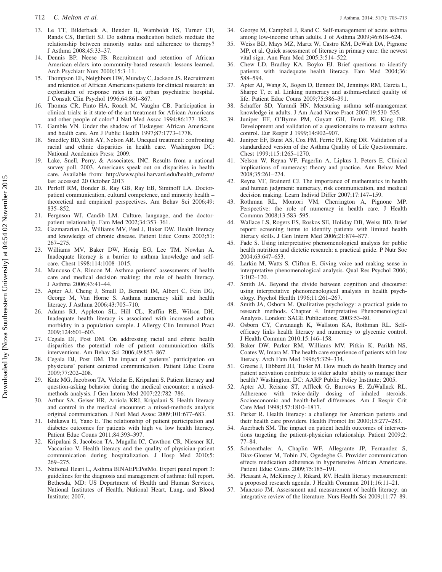- <span id="page-10-0"></span>13. Le TT, Bilderback A, Bender B, Wamboldt FS, Turner CF, Rands CS, Bartlett SJ. Do asthma medication beliefs mediate the relationship between minority status and adherence to therapy? J Asthma 2008;45:33–37.
- 14. Dennis BP, Neese JB. Recruitment and retention of African American elders into community-based research: lessons learned. Arch Psychiatr Nurs 2000;15:3–11.
- 15. Thompson EE, Neighbors HW, Munday C, Jackson JS. Recruitment and retention of African Americans patients for clinical research: an exploration of response rates in an urban psychiatric hospital. J Consult Clin Psychol 1996;64:861–867.
- 16. Thomas CR, Pinto HA, Roach M, Vaughn CB. Participation in clinical trials: is it state-of-the-art treatment for African Americans and other people of color? J Natl Med Assoc 1994;86:177–182.
- 17. Gamble VN. Under the shadow of Tuskegee: African Americans and health care. Am J Public Health 1997;87:1773–1778.
- 18. Smedley BD, Stith AY, Nelson AR. Unequal treatment: confronting racial and ethnic disparities in health care. Washington DC: National Academies Press; 2009.
- 19. Lake, Snell, Perry, & Associates, INC. Results from a national survey poll. 2003. Americans speak out on disparities in health care. Available from: http://www.phsi.harvard.edu/health\_reform/ last accessed 20 October 2013
- 20. Perloff RM, Bonder B, Ray GB, Ray EB, Siminoff LA. Doctorpatient communication, cultural competence, and minority health – theoretical and empirical perspectives. Am Behav Sci 2006;49: 835–852.
- 21. Ferguson WJ, Candib LM. Culture, language, and the doctorpatient relationship. Fam Med 2002;34:353–361.
- 22. Gazmararian JA, Williams MV, Peel J, Baker DW. Health literacy and knowledge of chronic disease. Patient Educ Couns 2003;51: 267–275.
- 23. Williams MV, Baker DW, Honig EG, Lee TM, Nowlan A. Inadequate literacy is a barrier to asthma knowledge and selfcare. Chest 1998;114:1008–1015.
- 24. Mancuso CA, Rincon M. Asthma patients' assessments of health care and medical decision making: the role of health literacy. J Asthma 2006;43:41–44.
- 25. Apter AJ, Cheng J, Small D, Bennett IM, Albert C, Fein DG, George M, Van Horne S. Asthma numeracy skill and health literacy. J Asthma 2006;43:705–710.
- 26. Adams RJ, Appleton SL, Hill CL, Ruffin RE, Wilson DH. Inadequate health literacy is associated with increased asthma morbidity in a population sample. J Allergy Clin Immunol Pract 2009;124:601–603.
- 27. Cegala DJ, Post DM. On addressing racial and ethnic health disparities the potential role of patient communication skills interventions. Am Behav Sci 2006;49:853–867.
- 28. Cegala DJ, Post DM. The impact of patients' participation on physicians' patient centered communication. Patient Educ Couns 2009;77:202–208.
- 29. Katz MG, Jacobson TA, Veledar E, Kripalani S. Patient literacy and question-asking behavior during the medical encounter: a mixedmethods analysis. J Gen Intern Med 2007;22:782–786.
- 30. Arthur SA, Geiser HR, Arriola KRJ, Kripalani S. Health literacy and control in the medical encounter: a mixed-methods analysis original communication. J Natl Med Assoc 2009;101:677–683.
- 31. Ishikawa H, Yano E. The relationship of patient participation and diabetes outcomes for patients with high vs. low health literacy. Patient Educ Couns 2011;84:393–397.
- 32. Kripalani S, Jacobson TA, Mugalla IC, Cawthon CR, Niesner KJ, Vaccarino V. Health literacy and the quality of physician-patient communication during hospitalization. J Hosp Med 2010;5: 269–275.
- 33. National Heart L, Asthma BINAEPEPotMo. Expert panel report 3: guidelines for the diagnosis and management of asthma: full report. Bethesda, MD: US Department of Health and Human Services, National Institutes of Health, National Heart, Lung, and Blood Institute; 2007.
- 34. George M, Campbell J, Rand C. Self-management of acute asthma among low-income urban adults. J of Asthma 2009;46:618–624.
- 35. Weiss BD, Mays MZ, Martz W, Castro KM, DeWalt DA, Pignone MP, et al. Quick assessment of literacy in primary care: the newest vital sign. Ann Fam Med 2005;3:514–522.
- 36. Chew LD, Bradley KA, Boyko EJ. Brief questions to identify patients with inadequate health literacy. Fam Med 2004;36: 588–594.
- 37. Apter AJ, Wang X, Bogen D, Bennett IM, Jennings RM, Garcia L, Sharpe T, et al. Linking numeracy and asthma-related quality of life. Patient Educ Couns 2009;75:386–391.
- 38. Schaffer SD, Yarandi HN. Measuring asthma self-management knowledge in adults. J Am Acad Nurse Pract 2007;19:530–535.
- 39. Juniper EF, O'Byrne PM, Guyatt GH, Ferrie PJ, King DR. Development and validation of a questionnaire to measure asthma control. Eur Respir J 1999;14:902–907.
- 40. Juniper EF, Buist AS, Cox FM, Ferrie PJ, King DR. Validation of a standardized version of the Asthma Quality of Life Questionnaire. Chest 1999;115:1265–1270.
- 41. Nelson W, Reyna VF, Fagerlin A, Lipkus I, Peters E. Clinical implications of numeracy: theory and practice. Ann Behav Med 2008;35:261–274.
- 42. Reyna VF, Brainerd CJ. The importance of mathematics in health and human judgment: numeracy, risk communication, and medical decision making. Learn Individ Differ 2007;17:147–159.
- 43. Rothman RL, Montori VM, Cherrington A, Pignone MP. Perspective: the role of numeracy in health care. J Health Commun 2008;13:583–595.
- 44. Wallace LS, Rogers ES, Roskos SE, Holiday DB, Weiss BD. Brief report: screening items to identify patients with limited health literacy skills. J Gen Intern Med 2006;21:874–877.
- 45. Fade S. Using interpretative phenomenological analysis for public health nutrition and dietetic research: a practical guide. P Nutr Soc 2004;63:647–653.
- 46. Larkin M, Watts S, Clifton E. Giving voice and making sense in interpretative phenomenological analysis. Qual Res Psychol 2006; 3:102–120.
- 47. Smith JA. Beyond the divide between cognition and discourse: using interpretative phenomenological analysis in health psychology. Psychol Health 1996;11:261–267.
- 48. Smith JA, Osborn M. Qualitative psychology: a practical guide to research methods. Chapter 4. Interpretative Phenomenological Analysis. London: SAGE Publications; 2003:53–80.
- 49. Osborn CY, Cavanaugh K, Wallston KA, Rothman RL. Selfefficacy links health literacy and numeracy to glycemic control. J Health Commun 2010;15:146–158.
- 50. Baker DW, Parker RM, Williams MV, Pitkin K, Parikh NS, Coates W, Imara M. The health care experience of patients with low literacy. Arch Fam Med 1996;5:329–334.
- 51. Greene J, Hibbard JH, Tusler M. How much do health literacy and patient activation contribute to older adults' ability to manage their health? Washington, DC: AARP Public Policy Institute; 2005.
- 52. Apter AJ, Reisine ST, Affleck G, Barrows E, ZuWallack RL. Adherence with twice-daily dosing of inhaled steroids. Socioeconomic and health-belief differences. Am J Respir Crit Care Med 1998;157:1810–1817.
- 53. Parker R. Health literacy: a challenge for American patients and their health care providers. Health Promot Int 2000;15:277–283.
- 54. Auerbach SM. The impact on patient health outcomes of interventions targeting the patient-physician relationship. Patient 2009;2: 77–84.
- 55. Schoenthaler A, Chaplin WF, Allegrante JP, Fernandez S, Diaz-Gloster M, Tobin JN, Ogedegbe G. Provider communication effects medication adherence in hypertensive African Americans. Patient Educ Couns 2009;75:185–191.
- 56. Pleasant A, McKinney J, Rikard, RV. Health literacy measurement: a proposed research agenda. J Health Commun 2011;16:11–21.
- 57. Mancuso JM. Assessment and measurement of health literacy: an integrative review of the literature. Nurs Health Sci 2009;11:77–89.